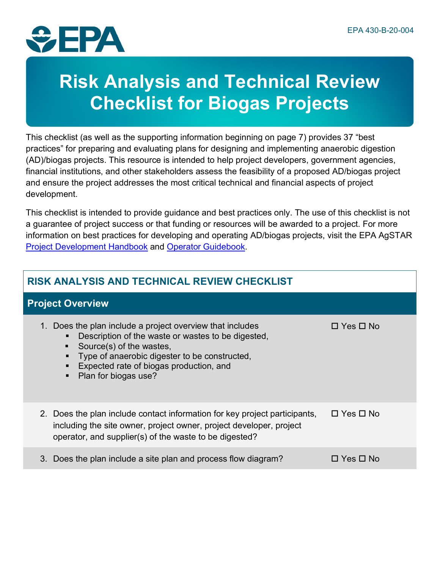

# **Risk Analysis and Technical Review Checklist for Biogas Projects**

This checklist (as well as the supporting information beginning on page 7) provides 37 "best practices" for preparing and evaluating plans for designing and implementing anaerobic digestion (AD)/biogas projects. This resource is intended to help project developers, government agencies, financial institutions, and other stakeholders assess the feasibility of a proposed AD/biogas project and ensure the project addresses the most critical technical and financial aspects of project development.

This checklist is intended to provide guidance and best practices only. The use of this checklist is not a guarantee of project success or that funding or resources will be awarded to a project. For more information on best practices for developing and operating AD/biogas projects, visit the EPA AgSTAR [Project Development Handbook](https://www.epa.gov/agstar/agstar-project-development-handbook) and [Operator Guidebook.](https://www.epa.gov/agstar/anaerobic-digesterbiogas-system-operator-guidebook)

#### **Project Overview**

| Does the plan include a project overview that includes<br>$1_{\cdot}$<br>Description of the waste or wastes to be digested,<br>٠<br>Source(s) of the wastes,<br>٠<br>Type of anaerobic digester to be constructed,<br>Ξ<br>Expected rate of biogas production, and<br>$\blacksquare$<br>Plan for biogas use?<br>٠ | $\Box$ Yes $\Box$ No |
|-------------------------------------------------------------------------------------------------------------------------------------------------------------------------------------------------------------------------------------------------------------------------------------------------------------------|----------------------|
| 2. Does the plan include contact information for key project participants,<br>including the site owner, project owner, project developer, project<br>operator, and supplier(s) of the waste to be digested?                                                                                                       | $\Box$ Yes $\Box$ No |
| Does the plan include a site plan and process flow diagram?<br>3.                                                                                                                                                                                                                                                 | □ Yes □ No           |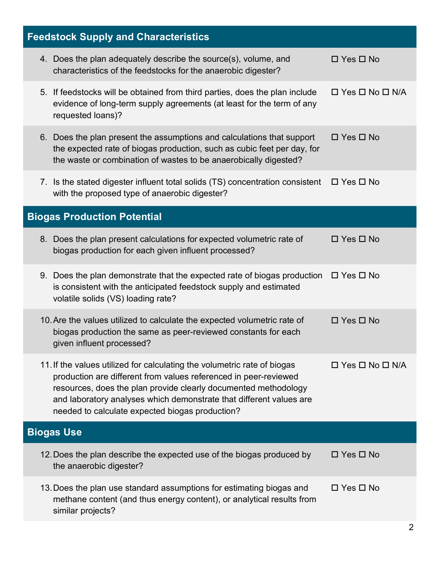| <b>Feedstock Supply and Characteristics</b>                                                                                                                                                                                                                                                                                               |                                 |
|-------------------------------------------------------------------------------------------------------------------------------------------------------------------------------------------------------------------------------------------------------------------------------------------------------------------------------------------|---------------------------------|
| 4. Does the plan adequately describe the source(s), volume, and<br>characteristics of the feedstocks for the anaerobic digester?                                                                                                                                                                                                          | $\Box$ Yes $\Box$ No            |
| 5. If feedstocks will be obtained from third parties, does the plan include<br>evidence of long-term supply agreements (at least for the term of any<br>requested loans)?                                                                                                                                                                 | $\Box$ Yes $\Box$ No $\Box$ N/A |
| 6. Does the plan present the assumptions and calculations that support<br>the expected rate of biogas production, such as cubic feet per day, for<br>the waste or combination of wastes to be anaerobically digested?                                                                                                                     | $\Box$ Yes $\Box$ No            |
| 7. Is the stated digester influent total solids (TS) concentration consistent $\Box$ Yes $\Box$ No<br>with the proposed type of anaerobic digester?                                                                                                                                                                                       |                                 |
| <b>Biogas Production Potential</b>                                                                                                                                                                                                                                                                                                        |                                 |
| 8. Does the plan present calculations for expected volumetric rate of<br>biogas production for each given influent processed?                                                                                                                                                                                                             | $\Box$ Yes $\Box$ No            |
| 9. Does the plan demonstrate that the expected rate of biogas production $\Box$ Yes $\Box$ No<br>is consistent with the anticipated feedstock supply and estimated<br>volatile solids (VS) loading rate?                                                                                                                                  |                                 |
| 10. Are the values utilized to calculate the expected volumetric rate of<br>biogas production the same as peer-reviewed constants for each<br>given influent processed?                                                                                                                                                                   | $\Box$ Yes $\Box$ No            |
| 11. If the values utilized for calculating the volumetric rate of biogas<br>production are different from values referenced in peer-reviewed<br>resources, does the plan provide clearly documented methodology<br>and laboratory analyses which demonstrate that different values are<br>needed to calculate expected biogas production? | $\Box$ Yes $\Box$ No $\Box$ N/A |
| <b>Biogas Use</b>                                                                                                                                                                                                                                                                                                                         |                                 |
| 12. Does the plan describe the expected use of the biogas produced by<br>the anaerobic digester?                                                                                                                                                                                                                                          | $\Box$ Yes $\Box$ No            |
| 13. Does the plan use standard assumptions for estimating biogas and<br>methane content (and thus energy content), or analytical results from<br>similar projects?                                                                                                                                                                        | $\Box$ Yes $\Box$ No            |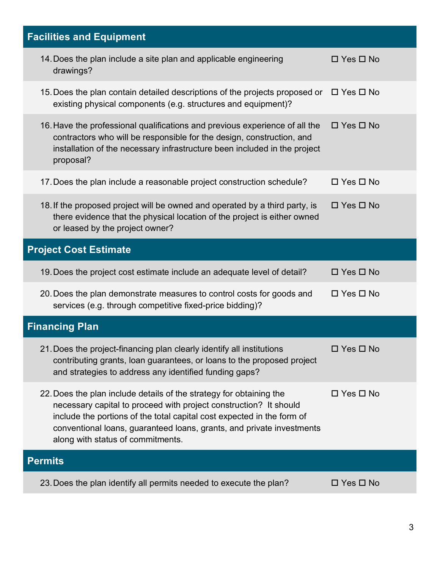| <b>Facilities and Equipment</b>                                                                                                                                                                                                                                                                                                  |                      |
|----------------------------------------------------------------------------------------------------------------------------------------------------------------------------------------------------------------------------------------------------------------------------------------------------------------------------------|----------------------|
| 14. Does the plan include a site plan and applicable engineering<br>drawings?                                                                                                                                                                                                                                                    | $\Box$ Yes $\Box$ No |
| 15. Does the plan contain detailed descriptions of the projects proposed or $\Box$ Yes $\Box$ No<br>existing physical components (e.g. structures and equipment)?                                                                                                                                                                |                      |
| 16. Have the professional qualifications and previous experience of all the<br>contractors who will be responsible for the design, construction, and<br>installation of the necessary infrastructure been included in the project<br>proposal?                                                                                   | $\Box$ Yes $\Box$ No |
| 17. Does the plan include a reasonable project construction schedule?                                                                                                                                                                                                                                                            | $\Box$ Yes $\Box$ No |
| 18. If the proposed project will be owned and operated by a third party, is<br>there evidence that the physical location of the project is either owned<br>or leased by the project owner?                                                                                                                                       | $\Box$ Yes $\Box$ No |
| <b>Project Cost Estimate</b>                                                                                                                                                                                                                                                                                                     |                      |
| 19. Does the project cost estimate include an adequate level of detail?                                                                                                                                                                                                                                                          | $\Box$ Yes $\Box$ No |
|                                                                                                                                                                                                                                                                                                                                  |                      |
| 20. Does the plan demonstrate measures to control costs for goods and<br>services (e.g. through competitive fixed-price bidding)?                                                                                                                                                                                                | $\Box$ Yes $\Box$ No |
| <b>Financing Plan</b>                                                                                                                                                                                                                                                                                                            |                      |
| 21. Does the project-financing plan clearly identify all institutions<br>contributing grants, loan guarantees, or loans to the proposed project<br>and strategies to address any identified funding gaps?                                                                                                                        | $\Box$ Yes $\Box$ No |
| 22. Does the plan include details of the strategy for obtaining the<br>necessary capital to proceed with project construction? It should<br>include the portions of the total capital cost expected in the form of<br>conventional loans, guaranteed loans, grants, and private investments<br>along with status of commitments. | $\Box$ Yes $\Box$ No |
| <b>Permits</b>                                                                                                                                                                                                                                                                                                                   |                      |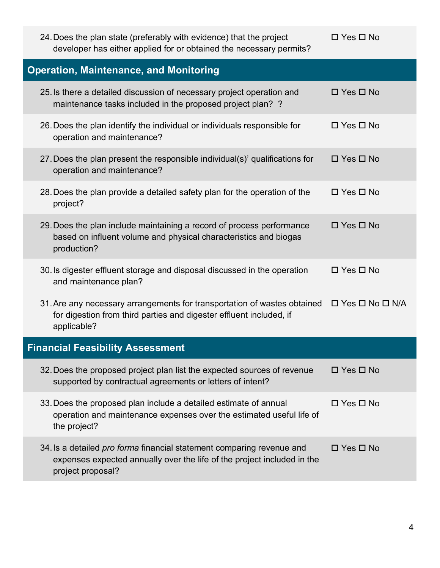| 24. Does the plan state (preferably with evidence) that the project<br>developer has either applied for or obtained the necessary permits?                                                     | $\Box$ Yes $\Box$ No |
|------------------------------------------------------------------------------------------------------------------------------------------------------------------------------------------------|----------------------|
| <b>Operation, Maintenance, and Monitoring</b>                                                                                                                                                  |                      |
| 25. Is there a detailed discussion of necessary project operation and<br>maintenance tasks included in the proposed project plan? ?                                                            | $\Box$ Yes $\Box$ No |
| 26. Does the plan identify the individual or individuals responsible for<br>operation and maintenance?                                                                                         | $\Box$ Yes $\Box$ No |
| 27. Does the plan present the responsible individual(s)' qualifications for<br>operation and maintenance?                                                                                      | $\Box$ Yes $\Box$ No |
| 28. Does the plan provide a detailed safety plan for the operation of the<br>project?                                                                                                          | $\Box$ Yes $\Box$ No |
| 29. Does the plan include maintaining a record of process performance<br>based on influent volume and physical characteristics and biogas<br>production?                                       | $\Box$ Yes $\Box$ No |
| 30. Is digester effluent storage and disposal discussed in the operation<br>and maintenance plan?                                                                                              | $\Box$ Yes $\Box$ No |
| 31. Are any necessary arrangements for transportation of wastes obtained $\Box$ Yes $\Box$ No $\Box$ N/A<br>for digestion from third parties and digester effluent included, if<br>applicable? |                      |
| <b>Financial Feasibility Assessment</b>                                                                                                                                                        |                      |
| 32. Does the proposed project plan list the expected sources of revenue<br>supported by contractual agreements or letters of intent?                                                           | $\Box$ Yes $\Box$ No |
| 33. Does the proposed plan include a detailed estimate of annual<br>operation and maintenance expenses over the estimated useful life of<br>the project?                                       | $\Box$ Yes $\Box$ No |
| 34. Is a detailed pro forma financial statement comparing revenue and<br>expenses expected annually over the life of the project included in the<br>project proposal?                          | $\Box$ Yes $\Box$ No |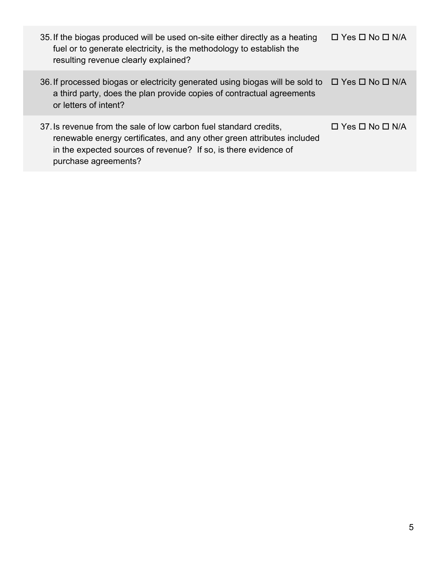| 35. If the biogas produced will be used on-site either directly as a heating<br>fuel or to generate electricity, is the methodology to establish the<br>resulting revenue clearly explained?                                           | $\Box$ Yes $\Box$ No $\Box$ N/A |
|----------------------------------------------------------------------------------------------------------------------------------------------------------------------------------------------------------------------------------------|---------------------------------|
| 36. If processed biogas or electricity generated using biogas will be sold to $\Box$ Yes $\Box$ No $\Box$ N/A<br>a third party, does the plan provide copies of contractual agreements<br>or letters of intent?                        |                                 |
| 37. Is revenue from the sale of low carbon fuel standard credits,<br>renewable energy certificates, and any other green attributes included<br>in the expected sources of revenue? If so, is there evidence of<br>purchase agreements? | $\Box$ Yes $\Box$ No $\Box$ N/A |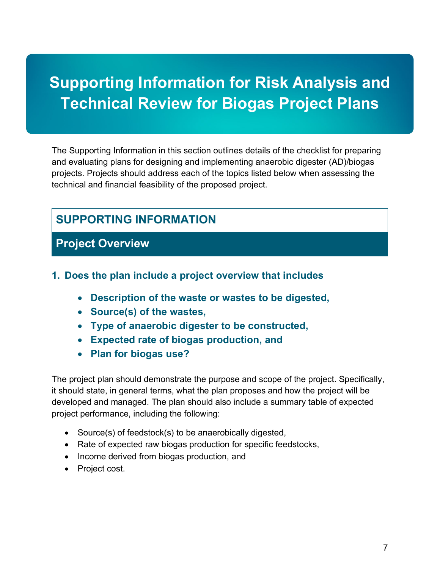# **Supporting Information for Risk Analysis and Technical Review for Biogas Project Plans**

The Supporting Information in this section outlines details of the checklist for preparing and evaluating plans for designing and implementing anaerobic digester (AD)/biogas projects. Projects should address each of the topics listed below when assessing the technical and financial feasibility of the proposed project.

## **SUPPORTING INFORMATION**

#### **Project Overview**

#### **1. Does the plan include a project overview that includes**

- **Description of the waste or wastes to be digested,**
- **Source(s) of the wastes,**
- **Type of anaerobic digester to be constructed,**
- **Expected rate of biogas production, and**
- **Plan for biogas use?**

The project plan should demonstrate the purpose and scope of the project. Specifically, it should state, in general terms, what the plan proposes and how the project will be developed and managed. The plan should also include a summary table of expected project performance, including the following:

- Source(s) of feedstock(s) to be anaerobically digested,
- Rate of expected raw biogas production for specific feedstocks,
- Income derived from biogas production, and
- Project cost.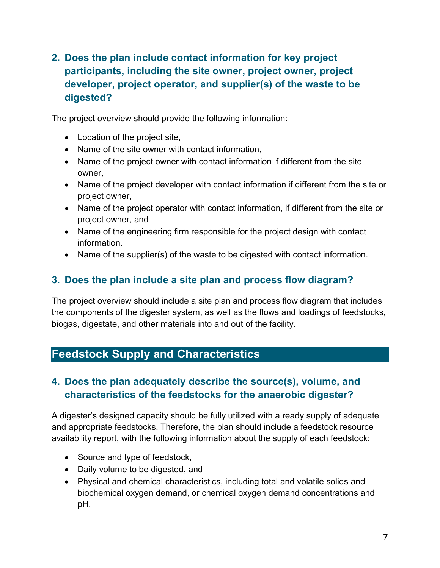#### **2. Does the plan include contact information for key project participants, including the site owner, project owner, project developer, project operator, and supplier(s) of the waste to be digested?**

The project overview should provide the following information:

- Location of the project site,
- Name of the site owner with contact information,
- Name of the project owner with contact information if different from the site owner,
- Name of the project developer with contact information if different from the site or project owner,
- Name of the project operator with contact information, if different from the site or project owner, and
- Name of the engineering firm responsible for the project design with contact information.
- Name of the supplier(s) of the waste to be digested with contact information.

#### **3. Does the plan include a site plan and process flow diagram?**

The project overview should include a site plan and process flow diagram that includes the components of the digester system, as well as the flows and loadings of feedstocks, biogas, digestate, and other materials into and out of the facility.

## **Feedstock Supply and Characteristics**

#### **4. Does the plan adequately describe the source(s), volume, and characteristics of the feedstocks for the anaerobic digester?**

A digester's designed capacity should be fully utilized with a ready supply of adequate and appropriate feedstocks. Therefore, the plan should include a feedstock resource availability report, with the following information about the supply of each feedstock:

- Source and type of feedstock,
- Daily volume to be digested, and
- Physical and chemical characteristics, including total and volatile solids and biochemical oxygen demand, or chemical oxygen demand concentrations and pH.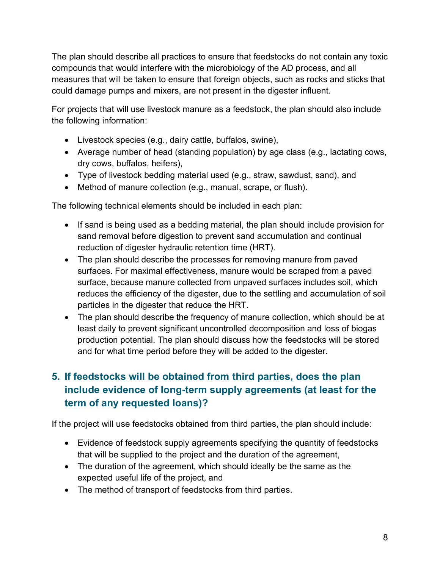The plan should describe all practices to ensure that feedstocks do not contain any toxic compounds that would interfere with the microbiology of the AD process, and all measures that will be taken to ensure that foreign objects, such as rocks and sticks that could damage pumps and mixers, are not present in the digester influent.

For projects that will use livestock manure as a feedstock, the plan should also include the following information:

- Livestock species (e.g., dairy cattle, buffalos, swine),
- Average number of head (standing population) by age class (e.g., lactating cows, dry cows, buffalos, heifers),
- Type of livestock bedding material used (e.g., straw, sawdust, sand), and
- Method of manure collection (e.g., manual, scrape, or flush).

The following technical elements should be included in each plan:

- If sand is being used as a bedding material, the plan should include provision for sand removal before digestion to prevent sand accumulation and continual reduction of digester hydraulic retention time (HRT).
- The plan should describe the processes for removing manure from paved surfaces. For maximal effectiveness, manure would be scraped from a paved surface, because manure collected from unpaved surfaces includes soil, which reduces the efficiency of the digester, due to the settling and accumulation of soil particles in the digester that reduce the HRT.
- The plan should describe the frequency of manure collection, which should be at least daily to prevent significant uncontrolled decomposition and loss of biogas production potential. The plan should discuss how the feedstocks will be stored and for what time period before they will be added to the digester.

## **5. If feedstocks will be obtained from third parties, does the plan include evidence of long-term supply agreements (at least for the term of any requested loans)?**

If the project will use feedstocks obtained from third parties, the plan should include:

- Evidence of feedstock supply agreements specifying the quantity of feedstocks that will be supplied to the project and the duration of the agreement,
- The duration of the agreement, which should ideally be the same as the expected useful life of the project, and
- The method of transport of feedstocks from third parties.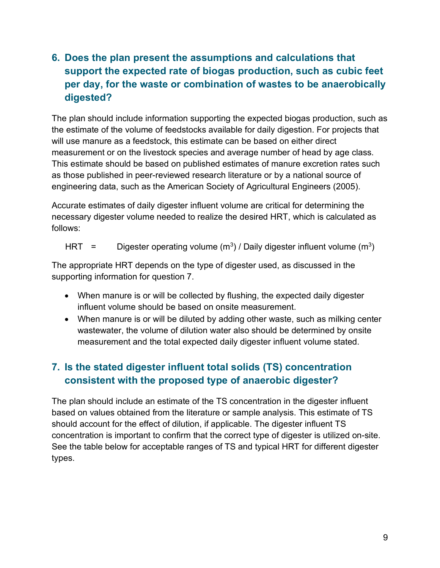#### **6. Does the plan present the assumptions and calculations that support the expected rate of biogas production, such as cubic feet per day, for the waste or combination of wastes to be anaerobically digested?**

The plan should include information supporting the expected biogas production, such as the estimate of the volume of feedstocks available for daily digestion. For projects that will use manure as a feedstock, this estimate can be based on either direct measurement or on the livestock species and average number of head by age class. This estimate should be based on published estimates of manure excretion rates such as those published in peer-reviewed research literature or by a national source of engineering data, such as the American Society of Agricultural Engineers (2005).

Accurate estimates of daily digester influent volume are critical for determining the necessary digester volume needed to realize the desired HRT, which is calculated as follows:

HRT = Digester operating volume  $(m^3)$  / Daily digester influent volume  $(m^3)$ 

The appropriate HRT depends on the type of digester used, as discussed in the supporting information for question 7.

- When manure is or will be collected by flushing, the expected daily digester influent volume should be based on onsite measurement.
- When manure is or will be diluted by adding other waste, such as milking center wastewater, the volume of dilution water also should be determined by onsite measurement and the total expected daily digester influent volume stated.

#### **7. Is the stated digester influent total solids (TS) concentration consistent with the proposed type of anaerobic digester?**

The plan should include an estimate of the TS concentration in the digester influent based on values obtained from the literature or sample analysis. This estimate of TS should account for the effect of dilution, if applicable. The digester influent TS concentration is important to confirm that the correct type of digester is utilized on-site. See the table below for acceptable ranges of TS and typical HRT for different digester types.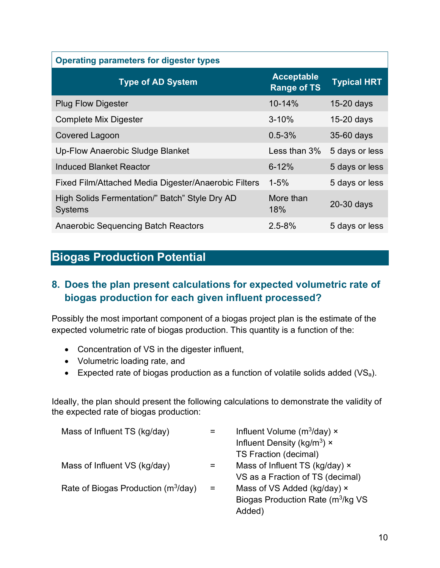| <b>Operating parameters for digester types</b>                   |                                         |                    |
|------------------------------------------------------------------|-----------------------------------------|--------------------|
| <b>Type of AD System</b>                                         | <b>Acceptable</b><br><b>Range of TS</b> | <b>Typical HRT</b> |
| <b>Plug Flow Digester</b>                                        | $10 - 14%$                              | $15-20$ days       |
| <b>Complete Mix Digester</b>                                     | $3 - 10%$                               | $15-20$ days       |
| <b>Covered Lagoon</b>                                            | $0.5 - 3%$                              | 35-60 days         |
| Up-Flow Anaerobic Sludge Blanket                                 | Less than 3%                            | 5 days or less     |
| Induced Blanket Reactor                                          | $6 - 12%$                               | 5 days or less     |
| Fixed Film/Attached Media Digester/Anaerobic Filters             | $1 - 5%$                                | 5 days or less     |
| High Solids Fermentation/" Batch" Style Dry AD<br><b>Systems</b> | More than<br>18%                        | 20-30 days         |
| <b>Anaerobic Sequencing Batch Reactors</b>                       | $2.5 - 8%$                              | 5 days or less     |

# **Biogas Production Potential**

#### **8. Does the plan present calculations for expected volumetric rate of biogas production for each given influent processed?**

Possibly the most important component of a biogas project plan is the estimate of the expected volumetric rate of biogas production. This quantity is a function of the:

- Concentration of VS in the digester influent,
- Volumetric loading rate, and
- Expected rate of biogas production as a function of volatile solids added  $(VS_a)$ .

Ideally, the plan should present the following calculations to demonstrate the validity of the expected rate of biogas production:

|     | Influent Volume ( $m^3$ /day) $\times$         |
|-----|------------------------------------------------|
|     | Influent Density ( $kg/m3$ ) ×                 |
|     | TS Fraction (decimal)                          |
|     | Mass of Influent TS (kg/day) ×                 |
|     | VS as a Fraction of TS (decimal)               |
| $=$ | Mass of VS Added (kg/day) ×                    |
|     | Biogas Production Rate (m <sup>3</sup> /kg VS) |
|     | Added)                                         |
|     |                                                |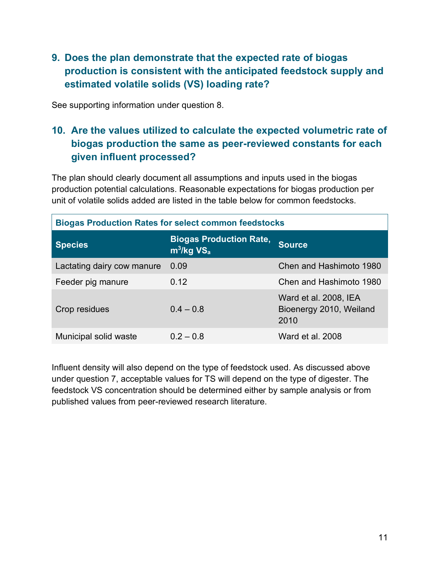#### **9. Does the plan demonstrate that the expected rate of biogas production is consistent with the anticipated feedstock supply and estimated volatile solids (VS) loading rate?**

See supporting information under question 8.

#### **10. Are the values utilized to calculate the expected volumetric rate of biogas production the same as peer-reviewed constants for each given influent processed?**

The plan should clearly document all assumptions and inputs used in the biogas production potential calculations. Reasonable expectations for biogas production per unit of volatile solids added are listed in the table below for common feedstocks.

| <b>Biogas Production Rates for select common feedstocks</b> |                                                            |                                                          |
|-------------------------------------------------------------|------------------------------------------------------------|----------------------------------------------------------|
| <b>Species</b>                                              | <b>Biogas Production Rate,</b><br>$m^3/kg$ VS <sub>a</sub> | <b>Source</b>                                            |
| Lactating dairy cow manure                                  | 0.09                                                       | Chen and Hashimoto 1980                                  |
| Feeder pig manure                                           | 0.12                                                       | Chen and Hashimoto 1980                                  |
| Crop residues                                               | $0.4 - 0.8$                                                | Ward et al. 2008, IEA<br>Bioenergy 2010, Weiland<br>2010 |
| Municipal solid waste                                       | $0.2 - 0.8$                                                | Ward et al. 2008                                         |

Influent density will also depend on the type of feedstock used. As discussed above under question 7, acceptable values for TS will depend on the type of digester. The feedstock VS concentration should be determined either by sample analysis or from published values from peer-reviewed research literature.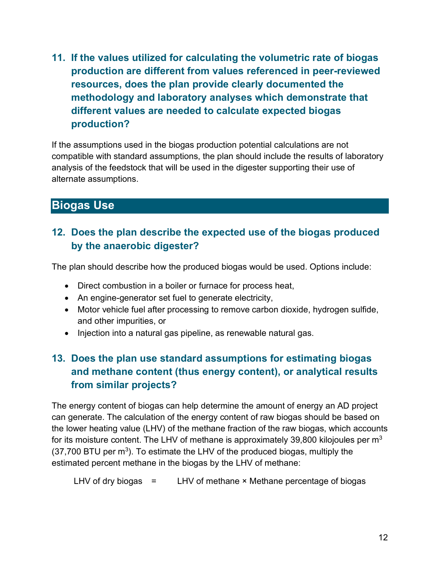**11. If the values utilized for calculating the volumetric rate of biogas production are different from values referenced in peer-reviewed resources, does the plan provide clearly documented the methodology and laboratory analyses which demonstrate that different values are needed to calculate expected biogas production?**

If the assumptions used in the biogas production potential calculations are not compatible with standard assumptions, the plan should include the results of laboratory analysis of the feedstock that will be used in the digester supporting their use of alternate assumptions.

## **Biogas Use**

#### **12. Does the plan describe the expected use of the biogas produced by the anaerobic digester?**

The plan should describe how the produced biogas would be used. Options include:

- Direct combustion in a boiler or furnace for process heat,
- An engine-generator set fuel to generate electricity,
- Motor vehicle fuel after processing to remove carbon dioxide, hydrogen sulfide, and other impurities, or
- Injection into a natural gas pipeline, as renewable natural gas.

#### **13. Does the plan use standard assumptions for estimating biogas and methane content (thus energy content), or analytical results from similar projects?**

The energy content of biogas can help determine the amount of energy an AD project can generate. The calculation of the energy content of raw biogas should be based on the lower heating value (LHV) of the methane fraction of the raw biogas, which accounts for its moisture content. The LHV of methane is approximately 39,800 kilojoules per  $m<sup>3</sup>$  $(37,700$  BTU per m<sup>3</sup>). To estimate the LHV of the produced biogas, multiply the estimated percent methane in the biogas by the LHV of methane:

LHV of dry biogas  $=$  LHV of methane  $\times$  Methane percentage of biogas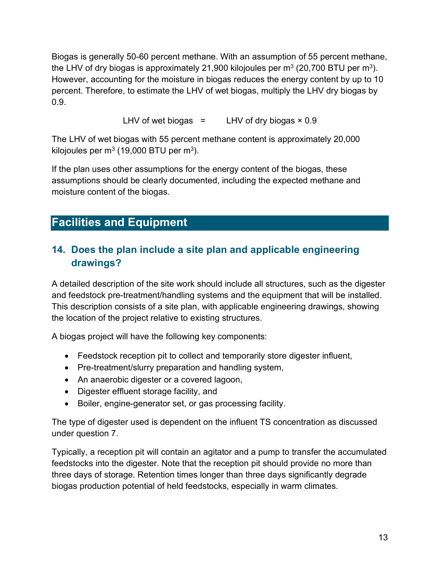Biogas is generally 50-60 percent methane. With an assumption of 55 percent methane, the LHV of dry biogas is approximately 21,900 kilojoules per  $m<sup>3</sup>$  (20,700 BTU per  $m<sup>3</sup>$ ). However, accounting for the moisture in biogas reduces the energy content by up to 10 percent. Therefore, to estimate the LHV of wet biogas, multiply the LHV dry biogas by 0.9.

LHV of wet biogas  $=$  LHV of dry biogas  $\times$  0.9

The LHV of wet biogas with 55 percent methane content is approximately 20,000 kilojoules per  $m<sup>3</sup>$  (19,000 BTU per  $m<sup>3</sup>$ ).

If the plan uses other assumptions for the energy content of the biogas, these assumptions should be clearly documented, including the expected methane and moisture content of the biogas.

## **Facilities and Equipment**

#### **14. Does the plan include a site plan and applicable engineering drawings?**

A detailed description of the site work should include all structures, such as the digester and feedstock pre-treatment/handling systems and the equipment that will be installed. This description consists of a site plan, with applicable engineering drawings, showing the location of the project relative to existing structures.

A biogas project will have the following key components:

- Feedstock reception pit to collect and temporarily store digester influent,
- Pre-treatment/slurry preparation and handling system,
- An anaerobic digester or a covered lagoon,
- Digester effluent storage facility, and
- Boiler, engine-generator set, or gas processing facility.

The type of digester used is dependent on the influent TS concentration as discussed under question 7.

Typically, a reception pit will contain an agitator and a pump to transfer the accumulated feedstocks into the digester. Note that the reception pit should provide no more than three days of storage. Retention times longer than three days significantly degrade biogas production potential of held feedstocks, especially in warm climates.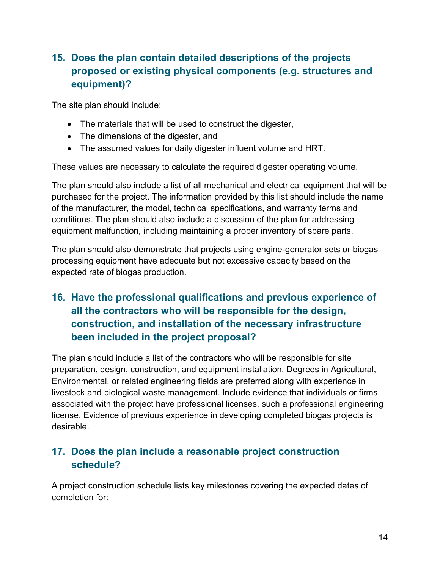#### **15. Does the plan contain detailed descriptions of the projects proposed or existing physical components (e.g. structures and equipment)?**

The site plan should include:

- The materials that will be used to construct the digester,
- The dimensions of the digester, and
- The assumed values for daily digester influent volume and HRT.

These values are necessary to calculate the required digester operating volume.

The plan should also include a list of all mechanical and electrical equipment that will be purchased for the project. The information provided by this list should include the name of the manufacturer, the model, technical specifications, and warranty terms and conditions. The plan should also include a discussion of the plan for addressing equipment malfunction, including maintaining a proper inventory of spare parts.

The plan should also demonstrate that projects using engine-generator sets or biogas processing equipment have adequate but not excessive capacity based on the expected rate of biogas production.

#### **16. Have the professional qualifications and previous experience of all the contractors who will be responsible for the design, construction, and installation of the necessary infrastructure been included in the project proposal?**

The plan should include a list of the contractors who will be responsible for site preparation, design, construction, and equipment installation. Degrees in Agricultural, Environmental, or related engineering fields are preferred along with experience in livestock and biological waste management. Include evidence that individuals or firms associated with the project have professional licenses, such a professional engineering license. Evidence of previous experience in developing completed biogas projects is desirable.

#### **17. Does the plan include a reasonable project construction schedule?**

A project construction schedule lists key milestones covering the expected dates of completion for: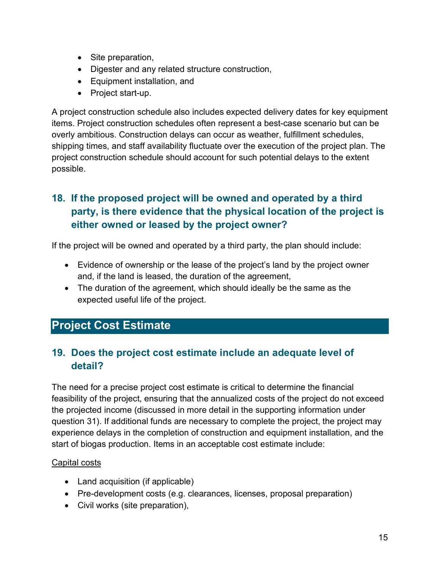- Site preparation,
- Digester and any related structure construction,
- Equipment installation, and
- Project start-up.

A project construction schedule also includes expected delivery dates for key equipment items. Project construction schedules often represent a best-case scenario but can be overly ambitious. Construction delays can occur as weather, fulfillment schedules, shipping times, and staff availability fluctuate over the execution of the project plan. The project construction schedule should account for such potential delays to the extent possible.

#### **18. If the proposed project will be owned and operated by a third party, is there evidence that the physical location of the project is either owned or leased by the project owner?**

If the project will be owned and operated by a third party, the plan should include:

- Evidence of ownership or the lease of the project's land by the project owner and, if the land is leased, the duration of the agreement,
- The duration of the agreement, which should ideally be the same as the expected useful life of the project.

# **Project Cost Estimate**

#### **19. Does the project cost estimate include an adequate level of detail?**

The need for a precise project cost estimate is critical to determine the financial feasibility of the project, ensuring that the annualized costs of the project do not exceed the projected income (discussed in more detail in the supporting information under question 31). If additional funds are necessary to complete the project, the project may experience delays in the completion of construction and equipment installation, and the start of biogas production. Items in an acceptable cost estimate include:

#### Capital costs

- Land acquisition (if applicable)
- Pre-development costs (e.g. clearances, licenses, proposal preparation)
- Civil works (site preparation),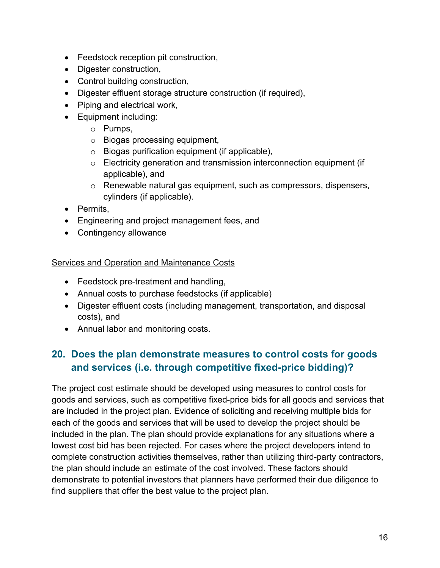- Feedstock reception pit construction,
- Digester construction,
- Control building construction,
- Digester effluent storage structure construction (if required),
- Piping and electrical work,
- Equipment including:
	- o Pumps,
	- o Biogas processing equipment,
	- o Biogas purification equipment (if applicable),
	- o Electricity generation and transmission interconnection equipment (if applicable), and
	- o Renewable natural gas equipment, such as compressors, dispensers, cylinders (if applicable).
- Permits,
- Engineering and project management fees, and
- Contingency allowance

#### Services and Operation and Maintenance Costs

- Feedstock pre-treatment and handling,
- Annual costs to purchase feedstocks (if applicable)
- Digester effluent costs (including management, transportation, and disposal costs), and
- Annual labor and monitoring costs.

#### **20. Does the plan demonstrate measures to control costs for goods and services (i.e. through competitive fixed-price bidding)?**

The project cost estimate should be developed using measures to control costs for goods and services, such as competitive fixed-price bids for all goods and services that are included in the project plan. Evidence of soliciting and receiving multiple bids for each of the goods and services that will be used to develop the project should be included in the plan. The plan should provide explanations for any situations where a lowest cost bid has been rejected. For cases where the project developers intend to complete construction activities themselves, rather than utilizing third-party contractors, the plan should include an estimate of the cost involved. These factors should demonstrate to potential investors that planners have performed their due diligence to find suppliers that offer the best value to the project plan.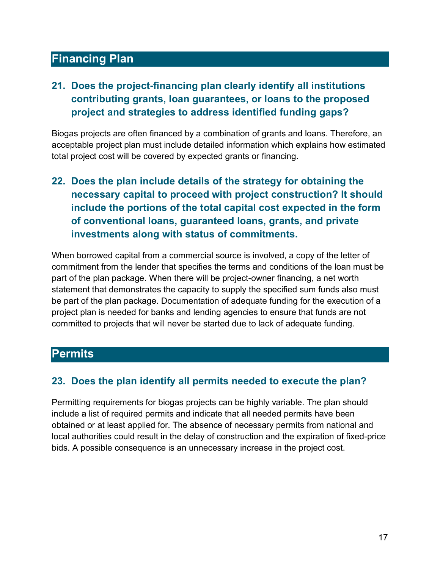#### **Financing Plan**

#### **21. Does the project-financing plan clearly identify all institutions contributing grants, loan guarantees, or loans to the proposed project and strategies to address identified funding gaps?**

Biogas projects are often financed by a combination of grants and loans. Therefore, an acceptable project plan must include detailed information which explains how estimated total project cost will be covered by expected grants or financing.

#### **22. Does the plan include details of the strategy for obtaining the necessary capital to proceed with project construction? It should include the portions of the total capital cost expected in the form of conventional loans, guaranteed loans, grants, and private investments along with status of commitments.**

When borrowed capital from a commercial source is involved, a copy of the letter of commitment from the lender that specifies the terms and conditions of the loan must be part of the plan package. When there will be project-owner financing, a net worth statement that demonstrates the capacity to supply the specified sum funds also must be part of the plan package. Documentation of adequate funding for the execution of a project plan is needed for banks and lending agencies to ensure that funds are not committed to projects that will never be started due to lack of adequate funding.

#### **Permits**

#### **23. Does the plan identify all permits needed to execute the plan?**

Permitting requirements for biogas projects can be highly variable. The plan should include a list of required permits and indicate that all needed permits have been obtained or at least applied for. The absence of necessary permits from national and local authorities could result in the delay of construction and the expiration of fixed-price bids. A possible consequence is an unnecessary increase in the project cost.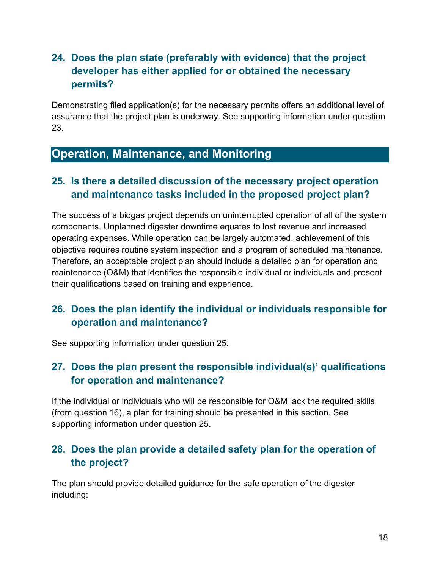#### **24. Does the plan state (preferably with evidence) that the project developer has either applied for or obtained the necessary permits?**

Demonstrating filed application(s) for the necessary permits offers an additional level of assurance that the project plan is underway. See supporting information under question 23.

## **Operation, Maintenance, and Monitoring**

#### **25. Is there a detailed discussion of the necessary project operation and maintenance tasks included in the proposed project plan?**

The success of a biogas project depends on uninterrupted operation of all of the system components. Unplanned digester downtime equates to lost revenue and increased operating expenses. While operation can be largely automated, achievement of this objective requires routine system inspection and a program of scheduled maintenance. Therefore, an acceptable project plan should include a detailed plan for operation and maintenance (O&M) that identifies the responsible individual or individuals and present their qualifications based on training and experience.

#### **26. Does the plan identify the individual or individuals responsible for operation and maintenance?**

See supporting information under question 25.

#### **27. Does the plan present the responsible individual(s)' qualifications for operation and maintenance?**

If the individual or individuals who will be responsible for O&M lack the required skills (from question 16), a plan for training should be presented in this section. See supporting information under question 25.

#### **28. Does the plan provide a detailed safety plan for the operation of the project?**

The plan should provide detailed guidance for the safe operation of the digester including: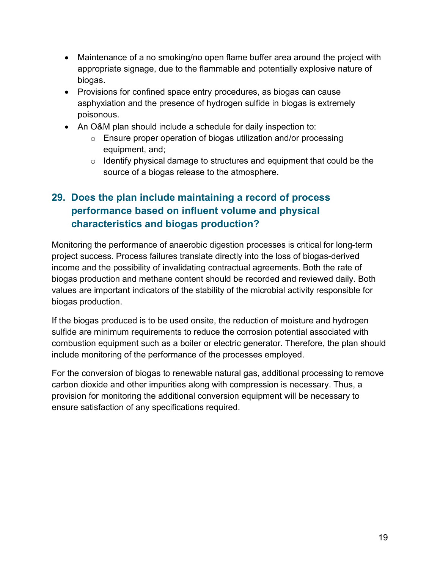- Maintenance of a no smoking/no open flame buffer area around the project with appropriate signage, due to the flammable and potentially explosive nature of biogas.
- Provisions for confined space entry procedures, as biogas can cause asphyxiation and the presence of hydrogen sulfide in biogas is extremely poisonous.
- An O&M plan should include a schedule for daily inspection to:
	- o Ensure proper operation of biogas utilization and/or processing equipment, and;
	- $\circ$  Identify physical damage to structures and equipment that could be the source of a biogas release to the atmosphere.

#### **29. Does the plan include maintaining a record of process performance based on influent volume and physical characteristics and biogas production?**

Monitoring the performance of anaerobic digestion processes is critical for long-term project success. Process failures translate directly into the loss of biogas-derived income and the possibility of invalidating contractual agreements. Both the rate of biogas production and methane content should be recorded and reviewed daily. Both values are important indicators of the stability of the microbial activity responsible for biogas production.

If the biogas produced is to be used onsite, the reduction of moisture and hydrogen sulfide are minimum requirements to reduce the corrosion potential associated with combustion equipment such as a boiler or electric generator. Therefore, the plan should include monitoring of the performance of the processes employed.

For the conversion of biogas to renewable natural gas, additional processing to remove carbon dioxide and other impurities along with compression is necessary. Thus, a provision for monitoring the additional conversion equipment will be necessary to ensure satisfaction of any specifications required.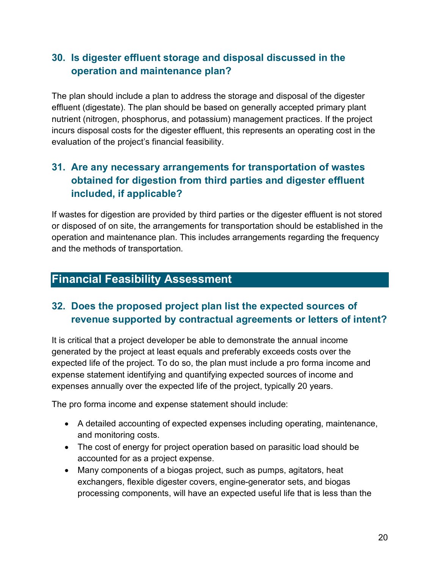#### **30. Is digester effluent storage and disposal discussed in the operation and maintenance plan?**

The plan should include a plan to address the storage and disposal of the digester effluent (digestate). The plan should be based on generally accepted primary plant nutrient (nitrogen, phosphorus, and potassium) management practices. If the project incurs disposal costs for the digester effluent, this represents an operating cost in the evaluation of the project's financial feasibility.

#### **31. Are any necessary arrangements for transportation of wastes obtained for digestion from third parties and digester effluent included, if applicable?**

If wastes for digestion are provided by third parties or the digester effluent is not stored or disposed of on site, the arrangements for transportation should be established in the operation and maintenance plan. This includes arrangements regarding the frequency and the methods of transportation.

## **Financial Feasibility Assessment**

#### **32. Does the proposed project plan list the expected sources of revenue supported by contractual agreements or letters of intent?**

It is critical that a project developer be able to demonstrate the annual income generated by the project at least equals and preferably exceeds costs over the expected life of the project. To do so, the plan must include a pro forma income and expense statement identifying and quantifying expected sources of income and expenses annually over the expected life of the project, typically 20 years.

The pro forma income and expense statement should include:

- A detailed accounting of expected expenses including operating, maintenance, and monitoring costs.
- The cost of energy for project operation based on parasitic load should be accounted for as a project expense.
- Many components of a biogas project, such as pumps, agitators, heat exchangers, flexible digester covers, engine-generator sets, and biogas processing components, will have an expected useful life that is less than the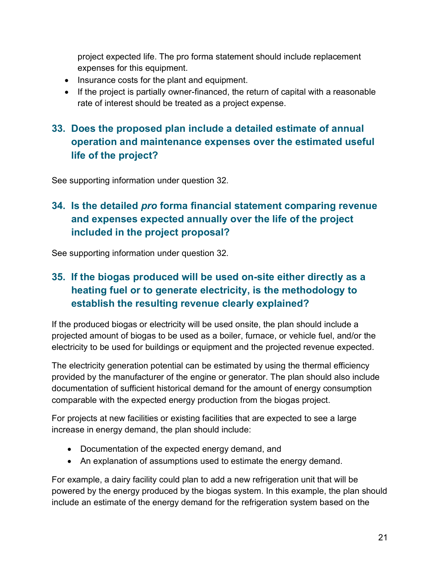project expected life. The pro forma statement should include replacement expenses for this equipment.

- Insurance costs for the plant and equipment.
- If the project is partially owner-financed, the return of capital with a reasonable rate of interest should be treated as a project expense.

#### **33. Does the proposed plan include a detailed estimate of annual operation and maintenance expenses over the estimated useful life of the project?**

See supporting information under question 32.

#### **34. Is the detailed** *pro* **forma financial statement comparing revenue and expenses expected annually over the life of the project included in the project proposal?**

See supporting information under question 32.

#### **35. If the biogas produced will be used on-site either directly as a heating fuel or to generate electricity, is the methodology to establish the resulting revenue clearly explained?**

If the produced biogas or electricity will be used onsite, the plan should include a projected amount of biogas to be used as a boiler, furnace, or vehicle fuel, and/or the electricity to be used for buildings or equipment and the projected revenue expected.

The electricity generation potential can be estimated by using the thermal efficiency provided by the manufacturer of the engine or generator. The plan should also include documentation of sufficient historical demand for the amount of energy consumption comparable with the expected energy production from the biogas project.

For projects at new facilities or existing facilities that are expected to see a large increase in energy demand, the plan should include:

- Documentation of the expected energy demand, and
- An explanation of assumptions used to estimate the energy demand.

For example, a dairy facility could plan to add a new refrigeration unit that will be powered by the energy produced by the biogas system. In this example, the plan should include an estimate of the energy demand for the refrigeration system based on the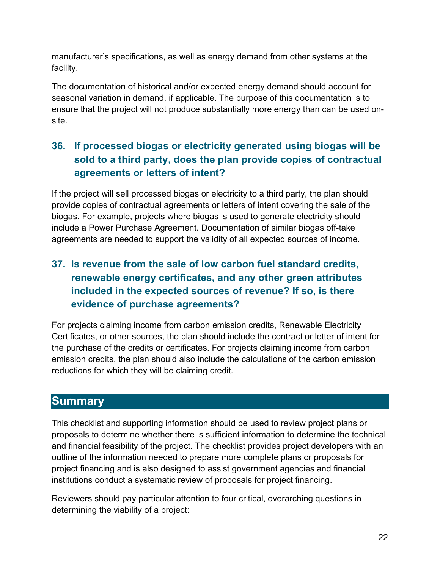manufacturer's specifications, as well as energy demand from other systems at the facility.

The documentation of historical and/or expected energy demand should account for seasonal variation in demand, if applicable. The purpose of this documentation is to ensure that the project will not produce substantially more energy than can be used onsite.

#### **36. If processed biogas or electricity generated using biogas will be sold to a third party, does the plan provide copies of contractual agreements or letters of intent?**

If the project will sell processed biogas or electricity to a third party, the plan should provide copies of contractual agreements or letters of intent covering the sale of the biogas. For example, projects where biogas is used to generate electricity should include a Power Purchase Agreement. Documentation of similar biogas off-take agreements are needed to support the validity of all expected sources of income.

#### **37. Is revenue from the sale of low carbon fuel standard credits, renewable energy certificates, and any other green attributes included in the expected sources of revenue? If so, is there evidence of purchase agreements?**

For projects claiming income from carbon emission credits, Renewable Electricity Certificates, or other sources, the plan should include the contract or letter of intent for the purchase of the credits or certificates. For projects claiming income from carbon emission credits, the plan should also include the calculations of the carbon emission reductions for which they will be claiming credit.

#### **Summary**

This checklist and supporting information should be used to review project plans or proposals to determine whether there is sufficient information to determine the technical and financial feasibility of the project. The checklist provides project developers with an outline of the information needed to prepare more complete plans or proposals for project financing and is also designed to assist government agencies and financial institutions conduct a systematic review of proposals for project financing.

Reviewers should pay particular attention to four critical, overarching questions in determining the viability of a project: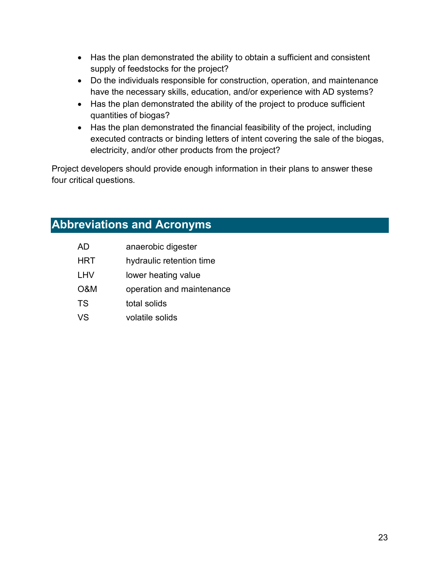- Has the plan demonstrated the ability to obtain a sufficient and consistent supply of feedstocks for the project?
- Do the individuals responsible for construction, operation, and maintenance have the necessary skills, education, and/or experience with AD systems?
- Has the plan demonstrated the ability of the project to produce sufficient quantities of biogas?
- Has the plan demonstrated the financial feasibility of the project, including executed contracts or binding letters of intent covering the sale of the biogas, electricity, and/or other products from the project?

Project developers should provide enough information in their plans to answer these four critical questions.

# **Abbreviations and Acronyms**

| <b>AD</b>  | anaerobic digester        |
|------------|---------------------------|
| <b>HRT</b> | hydraulic retention time  |
| <b>LHV</b> | lower heating value       |
| O&M        | operation and maintenance |
| <b>TS</b>  | total solids              |
| VS         | volatile solids           |